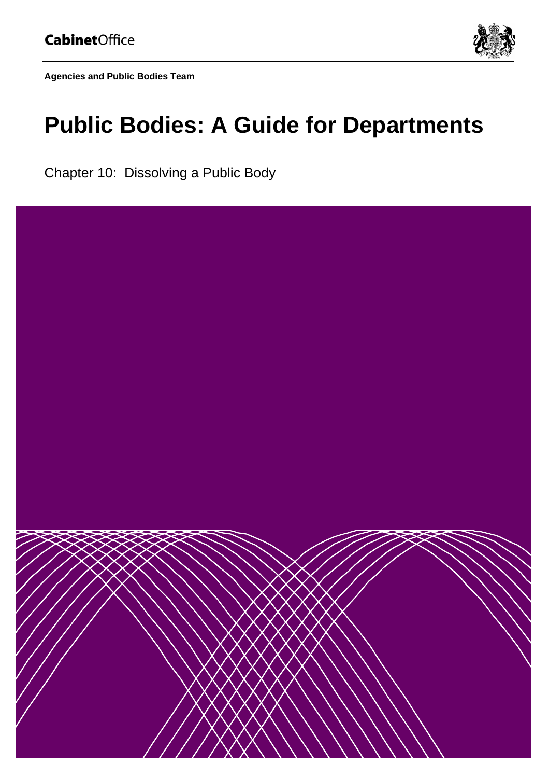

**Agencies and Public Bodies Team** 

# **Public Bodies: A Guide for Departments**

Chapter 10: Dissolving a Public Body

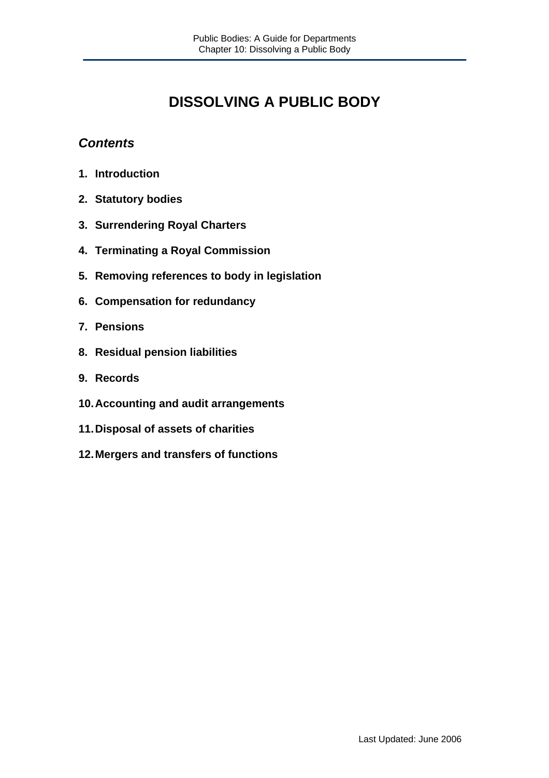# **DISSOLVING A PUBLIC BODY**

# *Contents*

- **1. Introduction**
- **2. Statutory bodies**
- **3. Surrendering Royal Charters**
- **4. Terminating a Royal Commission**
- **5. Removing references to body in legislation**
- **6. Compensation for redundancy**
- **7. Pensions**
- **8. Residual pension liabilities**
- **9. Records**
- **10. Accounting and audit arrangements**
- **11. Disposal of assets of charities**
- **12. Mergers and transfers of functions**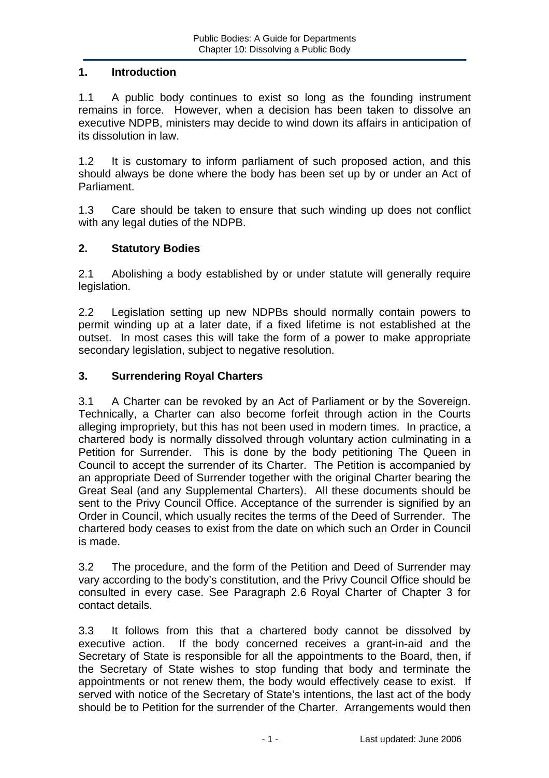#### **1. Introduction**

1.1 A public body continues to exist so long as the founding instrument remains in force. However, when a decision has been taken to dissolve an executive NDPB, ministers may decide to wind down its affairs in anticipation of its dissolution in law.

1.2 It is customary to inform parliament of such proposed action, and this should always be done where the body has been set up by or under an Act of Parliament.

1.3 Care should be taken to ensure that such winding up does not conflict with any legal duties of the NDPB.

#### **2. Statutory Bodies**

2.1 Abolishing a body established by or under statute will generally require legislation.

2.2 Legislation setting up new NDPBs should normally contain powers to permit winding up at a later date, if a fixed lifetime is not established at the outset. In most cases this will take the form of a power to make appropriate secondary legislation, subject to negative resolution.

#### **3. Surrendering Royal Charters**

3.1 A Charter can be revoked by an Act of Parliament or by the Sovereign. Technically, a Charter can also become forfeit through action in the Courts alleging impropriety, but this has not been used in modern times. In practice, a chartered body is normally dissolved through voluntary action culminating in a Petition for Surrender. This is done by the body petitioning The Queen in Council to accept the surrender of its Charter. The Petition is accompanied by an appropriate Deed of Surrender together with the original Charter bearing the Great Seal (and any Supplemental Charters). All these documents should be sent to the Privy Council Office. Acceptance of the surrender is signified by an Order in Council, which usually recites the terms of the Deed of Surrender. The chartered body ceases to exist from the date on which such an Order in Council is made.

3.2 The procedure, and the form of the Petition and Deed of Surrender may vary according to the body's constitution, and the Privy Council Office should be consulted in every case. See Paragraph 2.6 Royal Charter of Chapter 3 for contact details.

3.3 It follows from this that a chartered body cannot be dissolved by executive action. If the body concerned receives a grant-in-aid and the Secretary of State is responsible for all the appointments to the Board, then, if the Secretary of State wishes to stop funding that body and terminate the appointments or not renew them, the body would effectively cease to exist. If served with notice of the Secretary of State's intentions, the last act of the body should be to Petition for the surrender of the Charter. Arrangements would then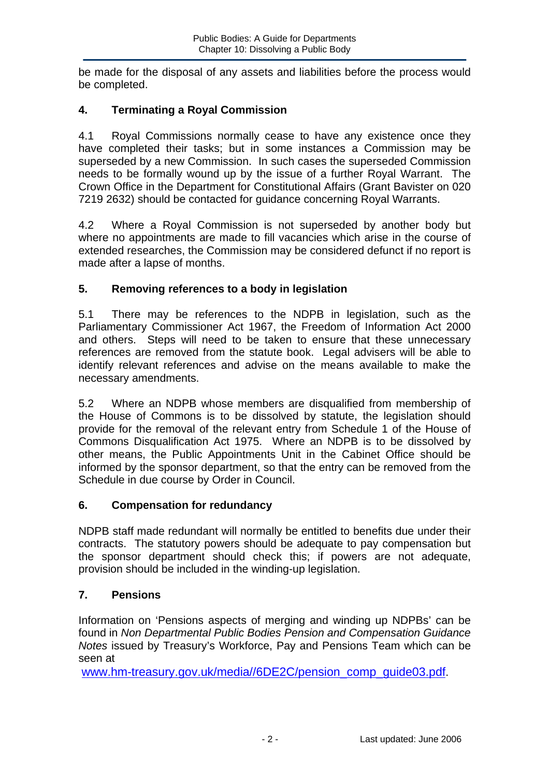be made for the disposal of any assets and liabilities before the process would be completed.

# **4. Terminating a Royal Commission**

4.1 Royal Commissions normally cease to have any existence once they have completed their tasks; but in some instances a Commission may be superseded by a new Commission. In such cases the superseded Commission needs to be formally wound up by the issue of a further Royal Warrant. The Crown Office in the Department for Constitutional Affairs (Grant Bavister on 020 7219 2632) should be contacted for guidance concerning Royal Warrants.

4.2 Where a Royal Commission is not superseded by another body but where no appointments are made to fill vacancies which arise in the course of extended researches, the Commission may be considered defunct if no report is made after a lapse of months.

# **5. Removing references to a body in legislation**

5.1 There may be references to the NDPB in legislation, such as the Parliamentary Commissioner Act 1967, the Freedom of Information Act 2000 and others. Steps will need to be taken to ensure that these unnecessary references are removed from the statute book. Legal advisers will be able to identify relevant references and advise on the means available to make the necessary amendments.

5.2 Where an NDPB whose members are disqualified from membership of the House of Commons is to be dissolved by statute, the legislation should provide for the removal of the relevant entry from Schedule 1 of the House of Commons Disqualification Act 1975. Where an NDPB is to be dissolved by other means, the Public Appointments Unit in the Cabinet Office should be informed by the sponsor department, so that the entry can be removed from the Schedule in due course by Order in Council.

# **6. Compensation for redundancy**

NDPB staff made redundant will normally be entitled to benefits due under their contracts. The statutory powers should be adequate to pay compensation but the sponsor department should check this; if powers are not adequate, provision should be included in the winding-up legislation.

# **7. Pensions**

Information on 'Pensions aspects of merging and winding up NDPBs' can be found in *Non Departmental Public Bodies Pension and Compensation Guidance Notes* issued by Treasury's Workforce, Pay and Pensions Team which can be seen at

www.hm-treasury.gov.uk/media//6DE2C/pension\_comp\_guide03.pdf.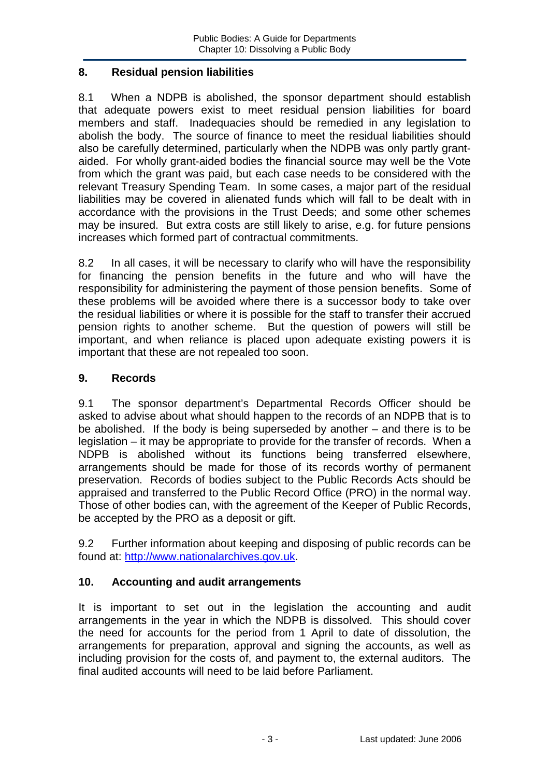#### **8. Residual pension liabilities**

8.1 When a NDPB is abolished, the sponsor department should establish that adequate powers exist to meet residual pension liabilities for board members and staff. Inadequacies should be remedied in any legislation to abolish the body. The source of finance to meet the residual liabilities should also be carefully determined, particularly when the NDPB was only partly grantaided. For wholly grant-aided bodies the financial source may well be the Vote from which the grant was paid, but each case needs to be considered with the relevant Treasury Spending Team. In some cases, a major part of the residual liabilities may be covered in alienated funds which will fall to be dealt with in accordance with the provisions in the Trust Deeds; and some other schemes may be insured. But extra costs are still likely to arise, e.g. for future pensions increases which formed part of contractual commitments.

8.2 In all cases, it will be necessary to clarify who will have the responsibility for financing the pension benefits in the future and who will have the responsibility for administering the payment of those pension benefits. Some of these problems will be avoided where there is a successor body to take over the residual liabilities or where it is possible for the staff to transfer their accrued pension rights to another scheme. But the question of powers will still be important, and when reliance is placed upon adequate existing powers it is important that these are not repealed too soon.

# **9. Records**

9.1 The sponsor department's Departmental Records Officer should be asked to advise about what should happen to the records of an NDPB that is to be abolished. If the body is being superseded by another – and there is to be legislation – it may be appropriate to provide for the transfer of records. When a NDPB is abolished without its functions being transferred elsewhere, arrangements should be made for those of its records worthy of permanent preservation. Records of bodies subject to the Public Records Acts should be appraised and transferred to the Public Record Office (PRO) in the normal way. Those of other bodies can, with the agreement of the Keeper of Public Records, be accepted by the PRO as a deposit or gift.

9.2 Further information about keeping and disposing of public records can be found at: http://www.nationalarchives.gov.uk.

# **10. Accounting and audit arrangements**

It is important to set out in the legislation the accounting and audit arrangements in the year in which the NDPB is dissolved. This should cover the need for accounts for the period from 1 April to date of dissolution, the arrangements for preparation, approval and signing the accounts, as well as including provision for the costs of, and payment to, the external auditors. The final audited accounts will need to be laid before Parliament.